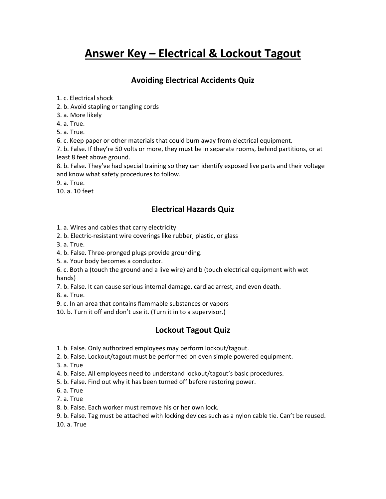# **Answer Key – Electrical & Lockout Tagout**

## **Avoiding Electrical Accidents Quiz**

1. c. Electrical shock

2. b. Avoid stapling or tangling cords

3. a. More likely

4. a. True.

5. a. True.

6. c. Keep paper or other materials that could burn away from electrical equipment.

7. b. False. If they're 50 volts or more, they must be in separate rooms, behind partitions, or at least 8 feet above ground.

8. b. False. They've had special training so they can identify exposed live parts and their voltage and know what safety procedures to follow.

9. a. True.

10. a. 10 feet

#### **Electrical Hazards Quiz**

- 1. a. Wires and cables that carry electricity
- 2. b. Electric-resistant wire coverings like rubber, plastic, or glass
- 3. a. True.
- 4. b. False. Three-pronged plugs provide grounding.

5. a. Your body becomes a conductor.

6. c. Both a (touch the ground and a live wire) and b (touch electrical equipment with wet hands)

7. b. False. It can cause serious internal damage, cardiac arrest, and even death.

8. a. True.

9. c. In an area that contains flammable substances or vapors

10. b. Turn it off and don't use it. (Turn it in to a supervisor.)

#### **Lockout Tagout Quiz**

1. b. False. Only authorized employees may perform lockout/tagout.

2. b. False. Lockout/tagout must be performed on even simple powered equipment.

3. a. True

4. b. False. All employees need to understand lockout/tagout's basic procedures.

5. b. False. Find out why it has been turned off before restoring power.

6. a. True

7. a. True

8. b. False. Each worker must remove his or her own lock.

9. b. False. Tag must be attached with locking devices such as a nylon cable tie. Can't be reused. 10. a. True